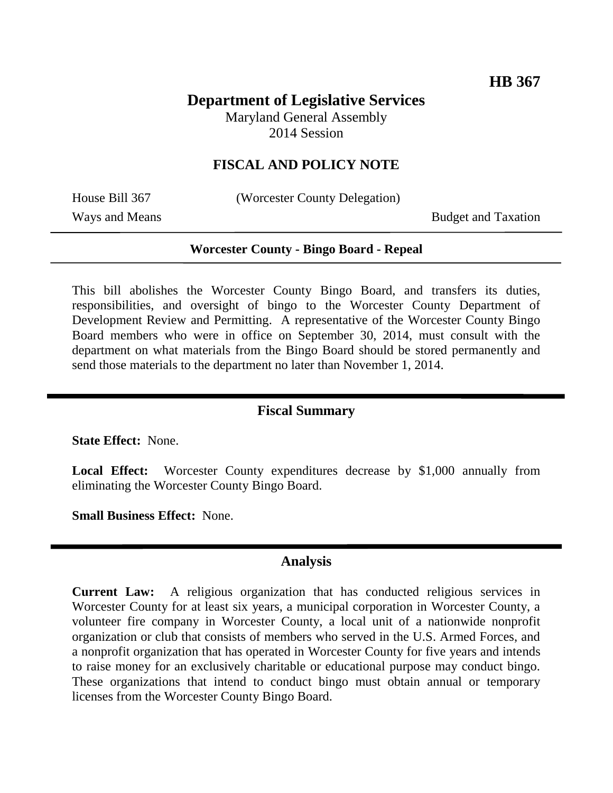# **Department of Legislative Services**

Maryland General Assembly 2014 Session

## **FISCAL AND POLICY NOTE**

House Bill 367 (Worcester County Delegation)

Ways and Means Budget and Taxation

#### **Worcester County - Bingo Board - Repeal**

This bill abolishes the Worcester County Bingo Board, and transfers its duties, responsibilities, and oversight of bingo to the Worcester County Department of Development Review and Permitting. A representative of the Worcester County Bingo Board members who were in office on September 30, 2014, must consult with the department on what materials from the Bingo Board should be stored permanently and send those materials to the department no later than November 1, 2014.

## **Fiscal Summary**

**State Effect:** None.

Local Effect: Worcester County expenditures decrease by \$1,000 annually from eliminating the Worcester County Bingo Board.

**Small Business Effect:** None.

### **Analysis**

**Current Law:** A religious organization that has conducted religious services in Worcester County for at least six years, a municipal corporation in Worcester County, a volunteer fire company in Worcester County, a local unit of a nationwide nonprofit organization or club that consists of members who served in the U.S. Armed Forces, and a nonprofit organization that has operated in Worcester County for five years and intends to raise money for an exclusively charitable or educational purpose may conduct bingo. These organizations that intend to conduct bingo must obtain annual or temporary licenses from the Worcester County Bingo Board.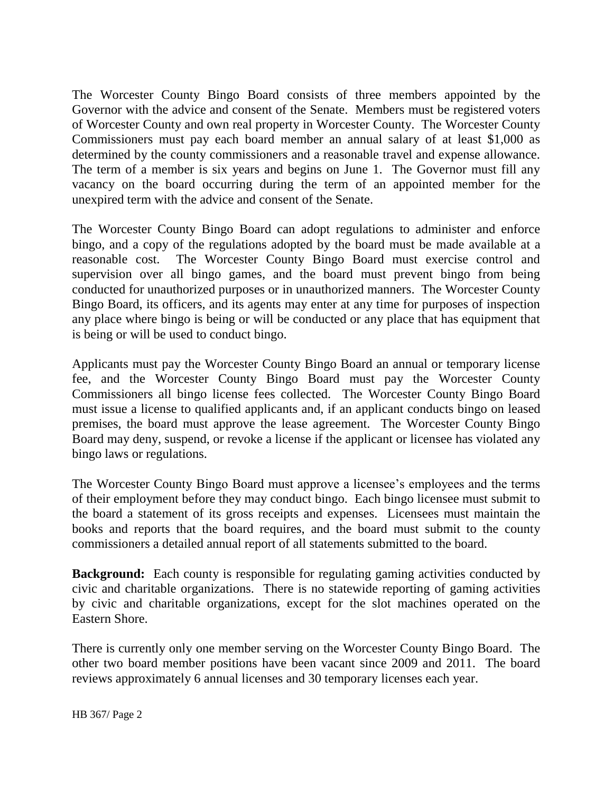The Worcester County Bingo Board consists of three members appointed by the Governor with the advice and consent of the Senate. Members must be registered voters of Worcester County and own real property in Worcester County. The Worcester County Commissioners must pay each board member an annual salary of at least \$1,000 as determined by the county commissioners and a reasonable travel and expense allowance. The term of a member is six years and begins on June 1. The Governor must fill any vacancy on the board occurring during the term of an appointed member for the unexpired term with the advice and consent of the Senate.

The Worcester County Bingo Board can adopt regulations to administer and enforce bingo, and a copy of the regulations adopted by the board must be made available at a reasonable cost. The Worcester County Bingo Board must exercise control and supervision over all bingo games, and the board must prevent bingo from being conducted for unauthorized purposes or in unauthorized manners. The Worcester County Bingo Board, its officers, and its agents may enter at any time for purposes of inspection any place where bingo is being or will be conducted or any place that has equipment that is being or will be used to conduct bingo.

Applicants must pay the Worcester County Bingo Board an annual or temporary license fee, and the Worcester County Bingo Board must pay the Worcester County Commissioners all bingo license fees collected. The Worcester County Bingo Board must issue a license to qualified applicants and, if an applicant conducts bingo on leased premises, the board must approve the lease agreement. The Worcester County Bingo Board may deny, suspend, or revoke a license if the applicant or licensee has violated any bingo laws or regulations.

The Worcester County Bingo Board must approve a licensee's employees and the terms of their employment before they may conduct bingo. Each bingo licensee must submit to the board a statement of its gross receipts and expenses. Licensees must maintain the books and reports that the board requires, and the board must submit to the county commissioners a detailed annual report of all statements submitted to the board.

**Background:** Each county is responsible for regulating gaming activities conducted by civic and charitable organizations. There is no statewide reporting of gaming activities by civic and charitable organizations, except for the slot machines operated on the Eastern Shore.

There is currently only one member serving on the Worcester County Bingo Board. The other two board member positions have been vacant since 2009 and 2011. The board reviews approximately 6 annual licenses and 30 temporary licenses each year.